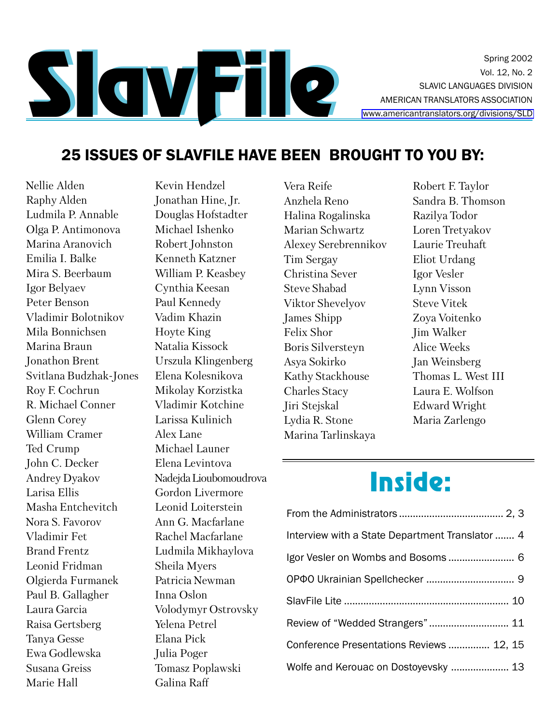

Spring 2002 Vol. 12, No. 2 **SLAVIC LANGUAGES DIVISION** AMERICAN TRANSLATORS ASSOCIATION www.americantranslators.org/divisions/SLD

## 25 ISSUES OF SLAVFILE HAVE BEEN BROUGHT TO YOU BY:

Nellie Alden Raphy Alden Ludmila P. Annable Olga P. Antimonova Marina Aranovich Emilia I Balke Mira S. Beerbaum Igor Belyaev Peter Benson Vladimir Bolotnikov Mila Bonnichsen Marina Braun Jonathon Brent Svitlana Budzhak-Jones Roy F. Cochrun R. Michael Conner Glenn Corey William Cramer Ted Crump John C. Decker **Andrey Dyakov** Larisa Ellis Masha Entchevitch Nora S. Favorov Vladimir Fet **Brand Frentz** Leonid Fridman Olgierda Furmanek Paul B. Gallagher Laura Garcia Raisa Gertsberg **Tanva Gesse** Ewa Godlewska Susana Greiss Marie Hall

Kevin Hendzel Jonathan Hine, Jr. Douglas Hofstadter Michael Ishenko Robert Johnston Kenneth Katzner William P. Keasbey Cynthia Keesan Paul Kennedy Vadim Khazin **Hoyte King** Natalia Kissock Urszula Klingenberg Elena Kolesnikova Mikolay Korzistka Vladimir Kotchine Larissa Kulinich Alex Lane Michael Launer Elena Levintova Nadejda Lioubomoudrova Gordon Livermore Leonid Loiterstein Ann G. Macfarlane Rachel Macfarlane Ludmila Mikhaylova Sheila Myers Patricia Newman Inna Oslon Volodymyr Ostrovsky Yelena Petrel Elana Pick Julia Poger Tomasz Poplawski Galina Raff

Vera Reife Anzhela Reno Halina Rogalinska Marian Schwartz Alexey Serebrennikov Tim Sergay Christina Sever Steve Shabad Viktor Shevelyov **James Shipp** Felix Shor **Boris Silversteyn** Asya Sokirko Kathy Stackhouse **Charles Stacy** Jiri Stejskal Lydia R. Stone Marina Tarlinskaya

Robert F. Taylor Sandra B. Thomson Razilya Todor Loren Tretyakov Laurie Treuhaft Eliot Urdang Igor Vesler Lynn Visson **Steve Vitek** Zova Voitenko **Jim Walker** Alice Weeks Jan Weinsberg Thomas L. West III Laura E. Wolfson Edward Wright Maria Zarlengo

# Inside:

| Interview with a State Department Translator  4 |
|-------------------------------------------------|
| Igor Vesler on Wombs and Bosoms 6               |
|                                                 |
|                                                 |
| Review of "Wedded Strangers" 11                 |
| Conference Presentations Reviews  12, 15        |
| Wolfe and Kerouac on Dostoyevsky  13            |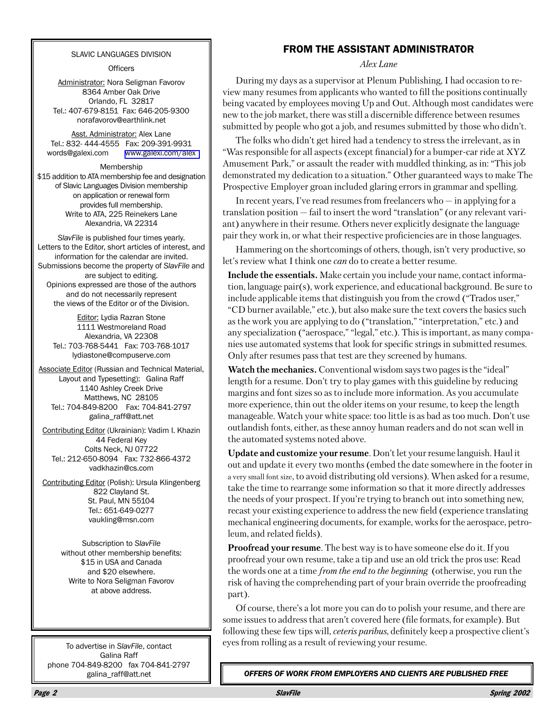#### **SLAVIC LANGUAGES DIVISION**

Officers

Administrator: Nora Seligman Favorov 8364 Amber Oak Drive Orlando, FL 32817 Tel.: 407-679-8151 Fax: 646-205-9300 norafavorov@earthlink.net

Asst. Administrator: Alex Lane Tel.: 832-444-4555 Fax: 209-391-9931 words@galexi.com www.galexi.com/alex

Membership \$15 addition to ATA membership fee and designation of Slavic Languages Division membership on application or renewal form provides full membership. Write to ATA, 225 Reinekers Lane Alexandria, VA 22314

SlavFile is published four times yearly. Letters to the Editor, short articles of interest. and information for the calendar are invited. Submissions become the property of SlavFile and are subject to editing. Opinions expressed are those of the authors and do not necessarily represent the views of the Editor or of the Division.

Editor: Lydia Razran Stone 1111 Westmoreland Road Alexandria, VA 22308 Tel.: 703-768-5441 Fax: 703-768-1017 Ivdiastone@compuserve.com

**Associate Editor (Russian and Technical Material,** Layout and Typesetting): Galina Raff 1140 Ashley Creek Drive Matthews, NC 28105 Tel.: 704-849-8200 Fax: 704-841-2797 galina\_raff@att.net

Contributing Editor (Ukrainian): Vadim I. Khazin 44 Federal Key Colts Neck, NJ 07722 Tel.: 212-650-8094 Fax: 732-866-4372 vadkhazin@cs.com

Contributing Editor (Polish): Ursula Klingenberg 822 Clayland St. St. Paul, MN 55104 Tel.: 651-649-0277 vaukling@msn.com

> Subscription to SlavFile without other membership benefits: \$15 in USA and Canada and \$20 elsewhere. Write to Nora Seligman Favorov at above address.

To advertise in SlavFile, contact Galina Raff phone 704-849-8200 fax 704-841-2797 galina\_raff@att.net

## **FROM THE ASSISTANT ADMINISTRATOR**

Alex Lane

During my days as a supervisor at Plenum Publishing, I had occasion to review many resumes from applicants who wanted to fill the positions continually being vacated by employees moving Up and Out. Although most candidates were new to the job market, there was still a discernible difference between resumes submitted by people who got a job, and resumes submitted by those who didn't.

The folks who didn't get hired had a tendency to stress the irrelevant, as in "Was responsible for all aspects (except financial) for a bumper-car ride at XYZ Amusement Park," or assault the reader with muddled thinking, as in: "This job" demonstrated my dedication to a situation." Other guaranteed ways to make The Prospective Employer groan included glaring errors in grammar and spelling.

In recent years, I've read resumes from freelancers who  $-$  in applying for a translation position  $-$  fail to insert the word "translation" (or any relevant variant) anywhere in their resume. Others never explicitly designate the language pair they work in, or what their respective proficiencies are in those languages.

Hammering on the shortcomings of others, though, isn't very productive, so let's review what I think one *can* do to create a better resume.

Include the essentials. Make certain you include your name, contact information, language pair(s), work experience, and educational background. Be sure to include applicable items that distinguish you from the crowd ("Trados user," "CD burner available," etc.), but also make sure the text covers the basics such as the work you are applying to do ("translation," "interpretation," etc.) and any specialization ("aerospace," "legal," etc.). This is important, as many companies use automated systems that look for specific strings in submitted resumes. Only after resumes pass that test are they screened by humans.

**Watch the mechanics.** Conventional wisdom says two pages is the "ideal" length for a resume. Don't try to play games with this guideline by reducing margins and font sizes so as to include more information. As you accumulate more experience, thin out the older items on your resume, to keep the length manageable. Watch your white space: too little is as bad as too much. Don't use outlandish fonts, either, as these annoy human readers and do not scan well in the automated systems noted above.

Update and customize your resume. Don't let your resume languish. Haul it out and update it every two months (embed the date somewhere in the footer in a very small font size, to avoid distributing old versions). When asked for a resume, take the time to rearrange some information so that it more directly addresses the needs of your prospect. If you're trying to branch out into something new, recast your existing experience to address the new field (experience translating mechanical engineering documents, for example, works for the aerospace, petroleum, and related fields).

Proofread your resume. The best way is to have someone else do it. If you proofread your own resume, take a tip and use an old trick the pros use: Read the words one at a time *from the end to the beginning* (otherwise, you run the risk of having the comprehending part of your brain override the proofreading part).

Of course, there's a lot more you can do to polish your resume, and there are some issues to address that aren't covered here (file formats, for example). But following these few tips will, *ceteris paribus*, definitely keep a prospective client's eyes from rolling as a result of reviewing your resume.

OFFERS OF WORK FROM EMPLOYERS AND CLIENTS ARE PUBLISHED FREE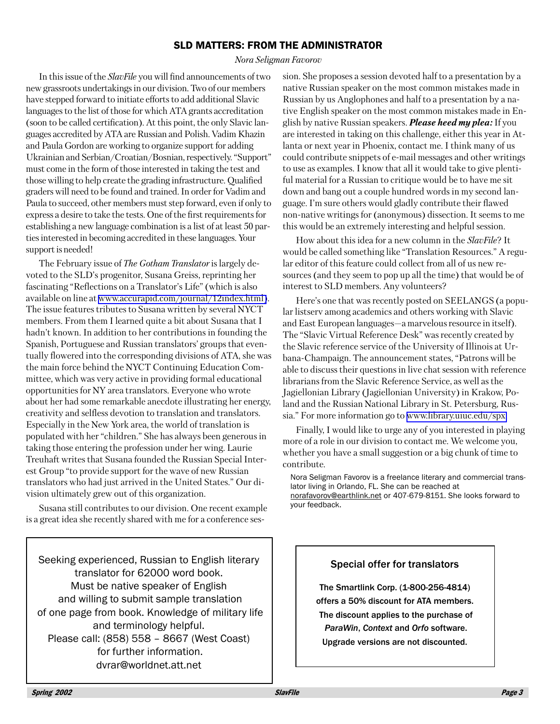## **SLD MATTERS: FROM THE ADMINISTRATOR**

#### Nora Seligman Favorov

In this issue of the *SlavFile* you will find announcements of two new grassroots undertakings in our division. Two of our members have stepped forward to initiate efforts to add additional Slavic languages to the list of those for which ATA grants accreditation (soon to be called certification). At this point, the only Slavic languages accredited by ATA are Russian and Polish. Vadim Khazin and Paula Gordon are working to organize support for adding Ukrainian and Serbian/Croatian/Bosnian, respectively. "Support" must come in the form of those interested in taking the test and those willing to help create the grading infrastructure. Qualified graders will need to be found and trained. In order for Vadim and Paula to succeed, other members must step forward, even if only to express a desire to take the tests. One of the first requirements for establishing a new language combination is a list of at least 50 parties interested in becoming accredited in these languages. Your support is needed!

The February issue of The Gotham Translator is largely devoted to the SLD's progenitor, Susana Greiss, reprinting her fascinating "Reflections on a Translator's Life" (which is also available on line at www.accurapid.com/journal/12index.html). The issue features tributes to Susana written by several NYCT members. From them I learned quite a bit about Susana that I hadn't known. In addition to her contributions in founding the Spanish, Portuguese and Russian translators' groups that eventually flowered into the corresponding divisions of ATA, she was the main force behind the NYCT Continuing Education Committee, which was very active in providing formal educational opportunities for NY area translators. Everyone who wrote about her had some remarkable anecdote illustrating her energy, creativity and selfless devotion to translation and translators. Especially in the New York area, the world of translation is populated with her "children." She has always been generous in taking those entering the profession under her wing. Laurie Treuhaft writes that Susana founded the Russian Special Interest Group "to provide support for the wave of new Russian translators who had just arrived in the United States." Our division ultimately grew out of this organization.

Susana still contributes to our division. One recent example is a great idea she recently shared with me for a conference ses-

Seeking experienced, Russian to English literary translator for 62000 word book. Must be native speaker of English and willing to submit sample translation of one page from book. Knowledge of military life and terminology helpful. Please call: (858) 558 - 8667 (West Coast) for further information. dvrar@worldnet.att.net

sion. She proposes a session devoted half to a presentation by a native Russian speaker on the most common mistakes made in Russian by us Anglophones and half to a presentation by a native English speaker on the most common mistakes made in English by native Russian speakers. **Please heed my plea:** If you are interested in taking on this challenge, either this year in Atlanta or next year in Phoenix, contact me. I think many of us could contribute snippets of e-mail messages and other writings to use as examples. I know that all it would take to give plentiful material for a Russian to critique would be to have me sit down and bang out a couple hundred words in my second language. I'm sure others would gladly contribute their flawed non-native writings for (anonymous) dissection. It seems to me this would be an extremely interesting and helpful session.

How about this idea for a new column in the SlavFile? It would be called something like "Translation Resources." A regular editor of this feature could collect from all of us new resources (and they seem to pop up all the time) that would be of interest to SLD members. Any volunteers?

Here's one that was recently posted on SEELANGS (a popular listserv among academics and others working with Slavic and East European languages—a marvelous resource in itself). The "Slavic Virtual Reference Desk" was recently created by the Slavic reference service of the University of Illinois at Urbana-Champaign. The announcement states, "Patrons will be able to discuss their questions in live chat session with reference librarians from the Slavic Reference Service, as well as the Jagiellonian Library (Jagiellonian University) in Krakow, Poland and the Russian National Library in St. Petersburg, Russia." For more information go to www.library.uiuc.edu/spx.

Finally, I would like to urge any of you interested in playing more of a role in our division to contact me. We welcome you, whether you have a small suggestion or a big chunk of time to contribute.

Nora Seligman Favorov is a freelance literary and commercial translator living in Orlando, FL. She can be reached at norafavorov@earthlink.net or 407-679-8151. She looks forward to vour feedback.

## **Special offer for translators**

The Smartlink Corp. (1-800-256-4814) offers a 50% discount for ATA members. The discount applies to the purchase of ParaWin, Context and Orfo software. Upgrade versions are not discounted.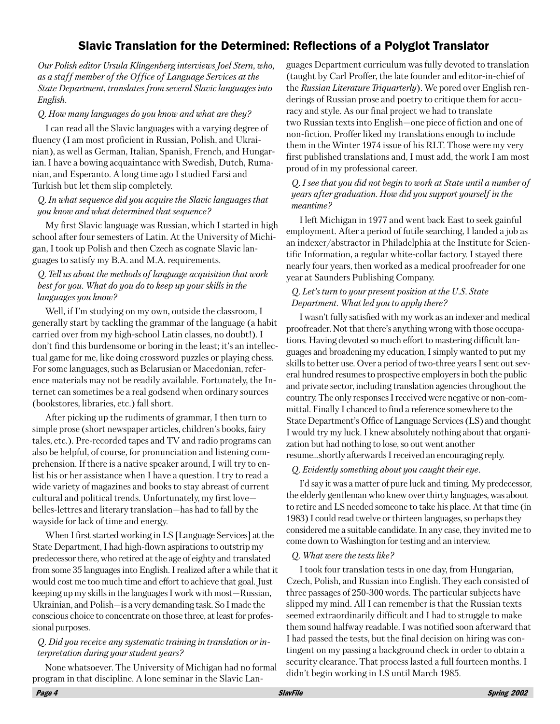## Slavic Translation for the Determined: Reflections of a Polyglot Translator

Our Polish editor Ursula Klingenberg interviews Joel Stern, who, as a staff member of the Office of Language Services at the State Department, translates from several Slavic languages into English.

## Q. How many languages do you know and what are they?

I can read all the Slavic languages with a varying degree of fluency (I am most proficient in Russian, Polish, and Ukrainian), as well as German, Italian, Spanish, French, and Hungarian. I have a bowing acquaintance with Swedish, Dutch, Rumanian, and Esperanto. A long time ago I studied Farsi and Turkish but let them slip completely.

#### Q. In what sequence did you acquire the Slavic languages that you know and what determined that sequence?

My first Slavic language was Russian, which I started in high school after four semesters of Latin. At the University of Michigan, I took up Polish and then Czech as cognate Slavic languages to satisfy my B.A. and M.A. requirements.

## Q. Tell us about the methods of language acquisition that work best for you. What do you do to keep up your skills in the languages you know?

Well, if I'm studying on my own, outside the classroom, I generally start by tackling the grammar of the language (a habit carried over from my high-school Latin classes, no doubt!). I don't find this burdensome or boring in the least; it's an intellectual game for me, like doing crossword puzzles or playing chess. For some languages, such as Belarusian or Macedonian, reference materials may not be readily available. Fortunately, the Internet can sometimes be a real godsend when ordinary sources (bookstores, libraries, etc.) fall short.

After picking up the rudiments of grammar, I then turn to simple prose (short newspaper articles, children's books, fairy tales, etc.). Pre-recorded tapes and TV and radio programs can also be helpful, of course, for pronunciation and listening comprehension. If there is a native speaker around, I will try to enlist his or her assistance when I have a question. I try to read a wide variety of magazines and books to stay abreast of current cultural and political trends. Unfortunately, my first lovebelles-lettres and literary translation—has had to fall by the wayside for lack of time and energy.

When I first started working in LS [Language Services] at the State Department, I had high-flown aspirations to outstrip my predecessor there, who retired at the age of eighty and translated from some 35 languages into English. I realized after a while that it would cost me too much time and effort to achieve that goal. Just keeping up my skills in the languages I work with most—Russian, Ukrainian, and Polish—is a very demanding task. So I made the conscious choice to concentrate on those three, at least for professional purposes.

#### Q. Did you receive any systematic training in translation or interpretation during your student years?

None whatsoever. The University of Michigan had no formal program in that discipline. A lone seminar in the Slavic Lan-

guages Department curriculum was fully devoted to translation (taught by Carl Proffer, the late founder and editor-in-chief of the Russian Literature Triquarterly). We pored over English renderings of Russian prose and poetry to critique them for accuracy and style. As our final project we had to translate two Russian texts into English—one piece of fiction and one of non-fiction. Proffer liked my translations enough to include them in the Winter 1974 issue of his RLT. Those were my very first published translations and, I must add, the work I am most proud of in my professional career.

### O. I see that you did not begin to work at State until a number of years after graduation. How did you support yourself in the meantime?

I left Michigan in 1977 and went back East to seek gainful employment. After a period of futile searching, I landed a job as an indexer/abstractor in Philadelphia at the Institute for Scientific Information, a regular white-collar factory. I stayed there nearly four years, then worked as a medical proofreader for one year at Saunders Publishing Company.

## O. Let's turn to your present position at the U.S. State Department. What led you to apply there?

I wasn't fully satisfied with my work as an indexer and medical proofreader. Not that there's anything wrong with those occupations. Having devoted so much effort to mastering difficult languages and broadening my education, I simply wanted to put my skills to better use. Over a period of two-three years I sent out several hundred resumes to prospective employers in both the public and private sector, including translation agencies throughout the country. The only responses I received were negative or non-committal. Finally I chanced to find a reference somewhere to the State Department's Office of Language Services (LS) and thought I would try my luck. I knew absolutely nothing about that organization but had nothing to lose, so out went another resume...shortly afterwards I received an encouraging reply.

#### O. Evidently something about you caught their eye.

I'd say it was a matter of pure luck and timing. My predecessor, the elderly gentleman who knew over thirty languages, was about to retire and LS needed someone to take his place. At that time (in 1983) I could read twelve or thirteen languages, so perhaps they considered me a suitable candidate. In any case, they invited me to come down to Washington for testing and an interview.

#### Q. What were the tests like?

I took four translation tests in one day, from Hungarian, Czech, Polish, and Russian into English. They each consisted of three passages of 250-300 words. The particular subjects have slipped my mind. All I can remember is that the Russian texts seemed extraordinarily difficult and I had to struggle to make them sound halfway readable. I was notified soon afterward that I had passed the tests, but the final decision on hiring was contingent on my passing a background check in order to obtain a security clearance. That process lasted a full fourteen months. I didn't begin working in LS until March 1985.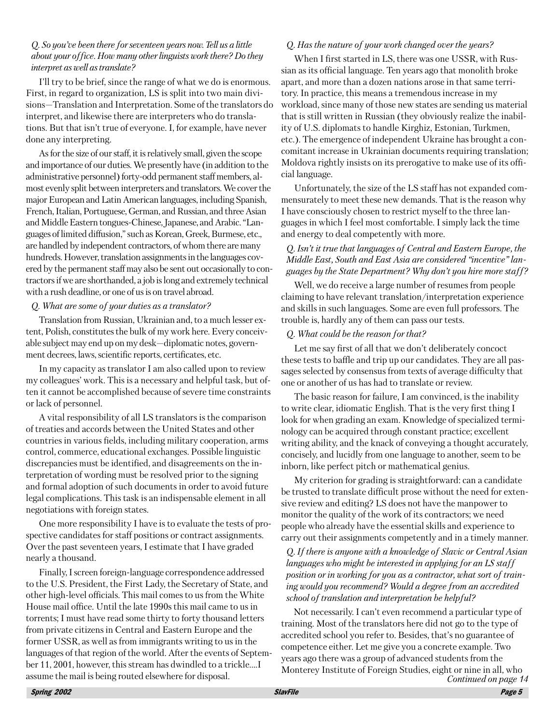#### O. So you've been there for seventeen years now. Tell us a little about your office. How many other linguists work there? Do they interpret as well as translate?

I'll try to be brief, since the range of what we do is enormous. First, in regard to organization, LS is split into two main divisions-Translation and Interpretation. Some of the translators do interpret, and likewise there are interpreters who do translations. But that isn't true of everyone. I, for example, have never done any interpreting.

As for the size of our staff, it is relatively small, given the scope and importance of our duties. We presently have (in addition to the administrative personnel) forty-odd permanent staff members, almost evenly split between interpreters and translators. We cover the major European and Latin American languages, including Spanish, French, Italian, Portuguese, German, and Russian, and three Asian and Middle Eastern tongues-Chinese, Japanese, and Arabic. "Languages of limited diffusion," such as Korean, Greek, Burmese, etc., are handled by independent contractors, of whom there are many hundreds. However, translation assignments in the languages covered by the permanent staff may also be sent out occasionally to contractors if we are shorthanded, a job is long and extremely technical with a rush deadline, or one of us is on travel abroad.

### Q. What are some of your duties as a translator?

Translation from Russian, Ukrainian and, to a much lesser extent, Polish, constitutes the bulk of my work here. Every conceivable subject may end up on my desk—diplomatic notes, government decrees, laws, scientific reports, certificates, etc.

In my capacity as translator I am also called upon to review my colleagues' work. This is a necessary and helpful task, but often it cannot be accomplished because of severe time constraints or lack of personnel.

A vital responsibility of all LS translators is the comparison of treaties and accords between the United States and other countries in various fields, including military cooperation, arms control, commerce, educational exchanges. Possible linguistic discrepancies must be identified, and disagreements on the interpretation of wording must be resolved prior to the signing and formal adoption of such documents in order to avoid future legal complications. This task is an indispensable element in all negotiations with foreign states.

One more responsibility I have is to evaluate the tests of prospective candidates for staff positions or contract assignments. Over the past seventeen years, I estimate that I have graded nearly a thousand.

Finally, I screen foreign-language correspondence addressed to the U.S. President, the First Lady, the Secretary of State, and other high-level officials. This mail comes to us from the White House mail office. Until the late 1990s this mail came to us in torrents; I must have read some thirty to forty thousand letters from private citizens in Central and Eastern Europe and the former USSR, as well as from immigrants writing to us in the languages of that region of the world. After the events of September 11, 2001, however, this stream has dwindled to a trickle.... assume the mail is being routed elsewhere for disposal.

## Q. Has the nature of your work changed over the years?

When I first started in LS, there was one USSR, with Russian as its official language. Ten years ago that monolith broke apart, and more than a dozen nations arose in that same territory. In practice, this means a tremendous increase in my workload, since many of those new states are sending us material that is still written in Russian (they obviously realize the inability of U.S. diplomats to handle Kirghiz, Estonian, Turkmen, etc.). The emergence of independent Ukraine has brought a concomitant increase in Ukrainian documents requiring translation; Moldova rightly insists on its prerogative to make use of its official language.

Unfortunately, the size of the LS staff has not expanded commensurately to meet these new demands. That is the reason why I have consciously chosen to restrict myself to the three languages in which I feel most comfortable. I simply lack the time and energy to deal competently with more.

## O. Isn't it true that languages of Central and Eastern Europe, the Middle East, South and East Asia are considered "incentive" languages by the State Department? Why don't you hire more staff?

Well, we do receive a large number of resumes from people claiming to have relevant translation/interpretation experience and skills in such languages. Some are even full professors. The trouble is, hardly any of them can pass our tests.

### Q. What could be the reason for that?

Let me say first of all that we don't deliberately concoct these tests to baffle and trip up our candidates. They are all passages selected by consensus from texts of average difficulty that one or another of us has had to translate or review.

The basic reason for failure, I am convinced, is the inability to write clear, idiomatic English. That is the very first thing I look for when grading an exam. Knowledge of specialized terminology can be acquired through constant practice; excellent writing ability, and the knack of conveying a thought accurately, concisely, and lucidly from one language to another, seem to be inborn, like perfect pitch or mathematical genius.

My criterion for grading is straightforward: can a candidate be trusted to translate difficult prose without the need for extensive review and editing? LS does not have the manpower to monitor the quality of the work of its contractors; we need people who already have the essential skills and experience to carry out their assignments competently and in a timely manner.

## Q. If there is anyone with a knowledge of Slavic or Central Asian languages who might be interested in applying for an LS staff position or in working for you as a contractor, what sort of training would you recommend? Would a degree from an accredited school of translation and interpretation be helpful?

Not necessarily. I can't even recommend a particular type of training. Most of the translators here did not go to the type of accredited school you refer to. Besides, that's no guarantee of competence either. Let me give you a concrete example. Two years ago there was a group of advanced students from the Monterey Institute of Foreign Studies, eight or nine in all, who Continued on page 14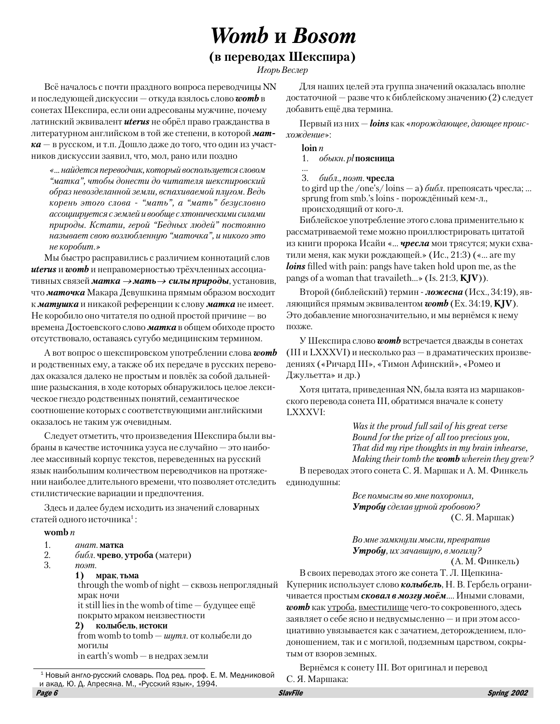## **Womb H** Bosom

## (в переводах Шекспира)

Игорь Веслер

Всё началось с почти праздного вопроса переводчицы NN и последующей дискуссии — откуда взялось слово **womb** в сонетах Шекспира, если они адресованы мужчине, почему латинский эквивалент **uterus** не обрёл право гражданства в литературном английском в той же степени, в которой мат- $\kappa a$  — в русском, и т.п. Дошло даже до того, что один из участников дискуссии заявил, что, мол, рано или поздно

«... найдется переводчик, который воспользуется словом "матка", чтобы донести до читателя шекспировский образ невозделанной земли, вспахиваемой плугом. Ведь корень этого слова - "мать", а "мать" безусловно ассоциируется с землей и вообще с хтоническими силами природы. Кстати, герой "Бедных людей" постоянно называет свою возлюбленную "маточка", и никого это не коробит.»

Мы быстро расправились с различием коннотаций слов **uterus** и **womb** и неправомерностью трёхчленных ассоциативных связей матка  $\rightarrow$ мать  $\rightarrow$  силы природы, установив, что маточка Макара Девушкина прямым образом восходит к матушка и никакой референции к слову матка не имеет. Не коробило оно читателя по одной простой причине — во времена Достоевского слово **матка** в общем обиходе просто отсутствовало, оставаясь сугубо медицинским термином.

А вот вопрос о шекспировском употреблении слова **womb** и родственных ему, а также об их передаче в русских переводах оказался далеко не простым и повлёк за собой дальнейшие разыскания, в ходе которых обнаружилось целое лексическое гнездо родственных понятий, семантическое соотношение которых с соответствующими английскими оказалось не таким уж очевидным.

Следует отметить, что произведения Шекспира были выбраны в качестве источника узуса не случайно — это наиболее массивный корпус текстов, переведенных на русский язык наибольшим количеством переводчиков на протяжении наиболее длительного времени, что позволяет отследить стилистические вариации и предпочтения.

Здесь и далее будем исходить из значений словарных статей одного источника<sup>1</sup>:

#### womb  $n$

- 1.  $a$ нат. матка<br>2.  $\qquad \qquad \delta u \delta \bar{u}$ . чрево.
- 2. *библ*. **чрево, утроба** (матери)<br>3. *поэт*.
- $n$ <sup>o</sup> $m$ .

#### $1)$  мрак, тьма

 $\hat{\text{t}}$ hrough the womb of night — сквозь непроглялный мрак ночи

it still lies in the womb of time  $-$  будущее ещё покрыто мраком неизвестности

2) колыбель, истоки from womb to tomb — *шутл*. от колыбели до могилы  $\text{in earth's womb} - \text{B}$  недрах земли

Для наших целей эта группа значений оказалась вполне достаточной — разве что к библейскому значению (2) следует добавить ещё два термина.

Первый из них — **loins** как «порождающее, дающее происхождение»:

 $\mathbf{loin}\,n$ 

1. обыкн. рl поясница

3.  $6u6n$ ., поэт. чресла

to gird up the /one's/loins — а) библ. препоясать чресла; ...  $\sup$  in a from  $\sinh$  s loins - порожлённый кем-л. происходящий от кого-л.

Библейское употребление этого слова применительно к рассматриваемой теме можно проиллюстрировать цитатой из книги пророка Исайи «... **чресла** мои трясутся; муки схватили меня, как муки рождающей.» (Ис., 21:3) («... are my loins filled with pain: pangs have taken hold upon me, as the pangs of a woman that travaileth...  $\mathcal{S}$  (Is. 21:3, KJV)).

Второй (библейский) термин - ложесна (Исх., 34:19), являющийся прямым эквивалентом **womb** (Ex. 34:19, **KJV**). Это добавление многозначительно, и мы вернёмся к нему позже.

У Шекспира слово **womb** встречается дважды в сонетах (III и LXXXVI) и несколько раз — в драматических произведениях («Ричард III», «Тимон Афинский», «Ромео и Джульетта» и др.)

Хотя цитата, приведенная NN, была взята из маршаковского перевода сонета III, обратимся вначале к сонету LXXXVI:

> Was it the proud full sail of his great verse Bound for the prize of all too precious you, That did my ripe thoughts in my brain inhearse, Making their tomb the womb wherein they grew?

В переводах этого сонета С. Я. Маршак и А. М. Финкель единодушны:

> Все помыслы во мне похоронил, Утробу сделав урной гробовою?  $(C. A. Mapmark)$

Во мне замкнули мысли, превратив **Утробу**, их зачавшую, в могилу?

(А. М. Финкель)

В своих переводах этого же сонета Т. Л. Щепкина-Куперник использует слово **колыбель**, Н. В. Гербель ограничивается простым **сковал в мозгу моём**.... Иными словами,  $womb$  как утроба, вместилище чего-то сокровенного, здесь заявляет о себе ясно и недвусмысленно — и при этом ассоциативно увязывается как с зачатием, деторождением, плодоношением, так и с могилой, подземным царством, сокрытым от взоров земных.

Вернёмся к сонету III. Вот оригинал и перевод

 $^1$  Новый англо-русский словарь. Под ред. проф. Е. М. Медниковой — С. Я. Маршака: и акад. Ю. Д. Апресяна. М., «Русский язык», 1994.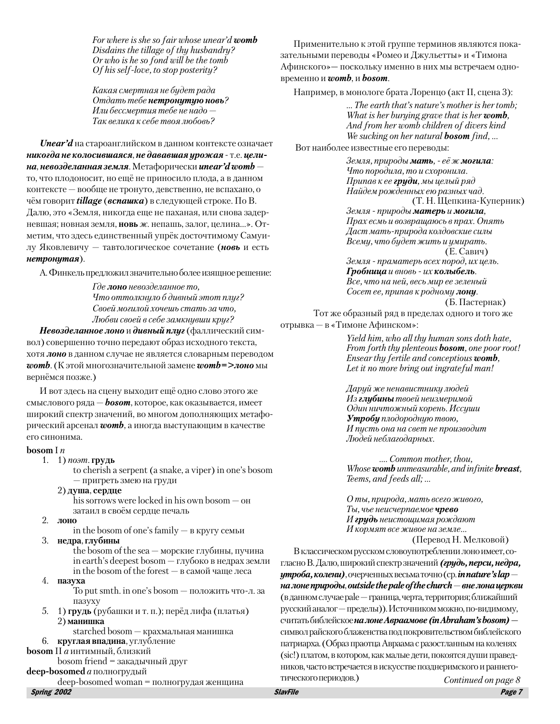For where is she so fair whose unear'd womb Disdains the tillage of thy husbandry? Or who is he so fond will be the tomb Of his self-love, to stop posterity?

Какая смертная не будет рада Отдать тебе нетронутую новь? Или бессмертия тебе не надо -Так велика к себе твоя любовь?

**Unear'd** на староанглийском в данном контексте означает никогда не колосившаяся, не дававшая урожая - т.е. целина, невозделанная земля. Метафорически ипеаr'd womb то, что плодоносит, но ещё не приносило плода, а в данном контексте - вообще не тронуто, девственно, не вспахано, о чём говорит tillage (вспашка) в следующей строке. По В. Далю, это «Земля, никогда еще не паханая, или снова задерневшая; новная земля, новь ж. непашь, залог, целина...». Отметим, что здесь единственный упрёк досточтимому Самуилу Яковлевичу - тавтологическое сочетание (новь и есть нетронутая).

А. Финкель предложил значительно более изящное решение:

Где лоно невозделанное то. Что оттолкнуло б дивный этот плуг? Своей могилой хочешь стать за что, Любви своей в себе замкнувши круг?

Невозделанное лоно и дивный плуг (фаллический символ) совершенно точно передают образ исходного текста, хотя лоно в данном случае не является словарным переводом **womb.** (К этой многозначительной замене **womb=>лоно** мы вернёмся позже.)

И вот здесь на сцену выходит ещё одно слово этого же смыслового ряда — **bosom**, которое, как оказывается, имеет широкий спектр значений, во многом дополняющих метафорический арсенал **womb**, а иногда выступающим в качестве его синонима.

#### bosom I $n$

- 1. 1) *поэт*. грудь
	- to cherish a serpent (a snake, a viper) in one's bosom — пригреть змею на груди
	- 2) душа, сердце

his sorrows were locked in his own bosom  $-\circ$   $\theta$ затаил в своём сердце печаль

2. лоно

in the bosom of one's family  $-$  в кругу семьи

3. недра, глубины

the bosom of the sea  $-$  морские глубины, пучина in earth's deepest bosom - глубоко в недрах земли in the bosom of the forest  $-$  в самой чаще леса

4. пазуха

To put smth. in one's bosom — положить что-л. за пазуху

- 5. 1) грудь (рубашки и т. п.); перёд лифа (платья) 2) манишка
	- starched bosom крахмальная манишка

#### 6. круглая впадина, углубление **bosom** II а интимный, близкий

 $bosom friend = 3a$ калычный друг

 $\bf{deep\text{-}bosomed}\text{ }a$  полногрудый

deep-bosomed woman = полногрудая женщина

**Spring 2002** 

Применительно к этой группе терминов являются показательными переводы «Ромео и Джульетты» и «Тимона Афинского» — поскольку именно в них мы встречаем одновременно и **womb**, и **bosom**.

Например, в монологе брата Лоренцо (акт II, сцена 3):

... The earth that's nature's mother is her tomb; What is her burying grave that is her womb, And from her womb children of divers kind We sucking on her natural **bosom** find, ...

Вот наиболее известные его переволы:

Земля, природы мать, - её ж могила: Что породила, то и схоронила. Припав к ее груди, мы целый ряд Найдем рожденных ею разных чад.

(Т. Н. Щепкина-Куперник) Земля - природы матерь и могила, Прах есмь и возвращаюсь в прах. Опять Даст мать-природа колдовские силы Всему, что будет жить и умирать.  $(E. \overline{C}$ авич)

Земля - праматерь всех пород, их цель. Гробница и вновь - их колыбель. Все, что на ней, весь мир ее зеленый Сосет ее, припав к родному лону.

(Б. Пастернак)

Тот же образный ряд в пределах одного и того же отрывка — в «Тимоне Афинском»:

> Yield him, who all thu human sons doth hate. From forth thy plenteous **bosom**, one poor root! Ensear thy fertile and conceptious womb, Let it no more bring out ingrateful man!

Дарий же ненавистники людей Из глибины твоей неизмеримой Один ничтожный корень. Иссиши Утробу плодородную твою, И пусть она на свет не производит Людей неблагодарных.

.... Common mother, thou, Whose womb unmeasurable, and infinite breast, Teems, and feeds all; ...

О ты, природа, мать всего живого, Ты, чье неисчерпаемое чрево И грудь неистощимая рождают И кормят все живое на земле...

(Перевод Н. Мелковой)

В классическом русском словоупотреблении лоно имеет, согласно В. Далю, широкий спектр значений (грудь, перси, недра, **утроба, колени)**, очерченных весьма точно (ср. *in nature's lap* – на лоне природы, outside the pale of the church  $-$  вне лона церкви (в данном случае pale - граница, черта, территория; ближайший русский аналог - пределы)). Источником можно, по-видимому, считать библейское на лоне Авраамове (in Abraham's bosom) символ райского блаженства под покровительством библейского патриарха. (Образ праотца Авраама с разостланным на коленях (sic!) платом, в котором, как малые дети, покоятся души правед-НИКОВ, ЧАСТО ВСТРЕЧАЕТСЯ В ИСКУССТВЕ ПОЗДНЕРИМСКОГО И РАННЕГОтического периодов.) Continued on page 8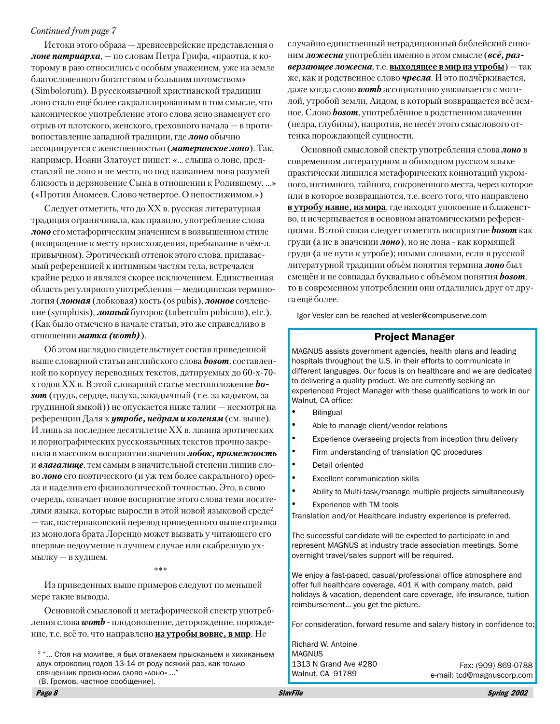## Continued from page 7

Истоки этого образа — древнееврейские представления о **лоне патриарха**, — по словам Петра Грифа, «праотца, к которому в раю относились с особым уважением, уже на земле благословенного богатством и большим потомством» (Simbolorum). В русскоязычной христианской традиции лоно стало ещё более сакрализированным в том смысле, что каноническое употребление этого слова ясно знаменует его отрыв от плотского, женского, греховного начала - в противопоставление западной традиции, где лоно обычно ассоциируется с женственностью (материнское лоно). Так, например, Иоанн Златоуст пишет: «... слыша о лоне, представляй не лоно и не место, но под названием лона разумей близость и дерзновение Сына в отношении к Родившему....» («Против Аномеев. Слово четвертое. О непостижимом.»)

Следует отметить, что до XX в. русская литературная традиция ограничивала, как правило, употребление слова лоно его метафорическим значением в возвышенном стиле (возвращение к месту происхождения, пребывание в чём-л. привычном). Эротический оттенок этого слова, придаваемый референцией к интимным частям тела, встречался крайне редко и являлся скорее исключением. Единственная область регулярного употребления — медицинская терминология (лонная (лобковая) кость (os pubis), лонное сочленение (symphisis), **лонный** бугорок (tuberculm pubicum), etc.). (Как было отмечено в начале статьи, это же справедливо в отношении матка (womb)).

Об этом наглядно свидетельствует состав приведенной выше словарной статьи английского слова **bosom**, составленной по корпусу переводных текстов, датируемых до 60-х-70х годов XX в. В этой словарной статье местоположение **bo**som (грудь, сердце, пазуха, закадычный (т.е. за кадыком, за грудинной ямкой)) не опускается ниже талии - несмотря на референции Даля к **утробе, недрам и коленям** (см. выше). И лишь за последнее десятилетие XX в. лавина эротических и порнографических русскоязычных текстов прочно закрепила в массовом восприятии значения лобок, промежность и влагалище, тем самым в значительной степени лишив слово лоно его поэтического (и уж тем более сакрального) ореола и наделив его физиологической точностью. Это, в свою очередь, означает новое восприятие этого слова теми носителями языка, которые выросли в этой новой языковой среде<sup>2</sup> - так, пастернаковский перевод приведенного выше отрывка из монолога брата Лоренцо может вызвать у читающего его впервые недоумение в лучшем случае или скабрезную ухмылку - в худшем.

Из приведенных выше примеров следуют по меньшей мере такие выводы.

Основной смысловой и метафорической спектр употребления слова **womb** - плодоношение, деторождение, порождение, т.е. всё то, что направлено из утробы вовне, в мир. Не

случайно единственный нетрадиционный библейский синоним ложесна употреблён именно в этом смысле (всё, раз**верзающее ложесна**, т.е. **выходящее в мир из утробы**) — так же, как и родственное слово **чресла**. И это подчёркивается, даже когда слово **womb** ассоциативно увязывается с могилой, утробой земли, Аидом, в который возвращается всё земное. Слово **bosom**, употреблённое в родственном значении (недра, глубины), напротив, не несёт этого смыслового оттенка порождающей сущности.

Основной смысловой спектр употребления слова лоно в современном литературном и обиходном русском языке практически лишился метафорических коннотаций укромного, интимного, тайного, сокровенного места, через которое или в которое возвращаются, т.е. всего того, что направлено в утробу извне, из мира, где находят упокоение и блаженство, и исчерпывается в основном анатомическими референциями. В этой связи следует отметить восприятие **bosom** как груди (а не в значении лоно), но не лона - как кормящей груди (а не пути к утробе); иными словами, если в русской литературной традиции объём понятия термина **лоно** был смещён и не совпадал буквально с объёмом понятия **bosom**, то в современном употреблении они отдалились друг от друга ешё более.

Igor Vesler can be reached at vesler@compuserve.com

## **Project Manager**

MAGNUS assists government agencies, health plans and leading hospitals throughout the U.S. in their efforts to communicate in different languages. Our focus is on healthcare and we are dedicated to delivering a quality product. We are currently seeking an experienced Project Manager with these qualifications to work in our Walnut, CA office:

- $\bullet$ **Bilingual**
- Able to manage client/vendor relations
- $\bullet$ Experience overseeing projects from inception thru delivery
- Firm understanding of translation QC procedures
- Detail oriented
- **Excellent communication skills**
- Ability to Multi-task/manage multiple projects simultaneously
- Experience with TM tools

Translation and/or Healthcare industry experience is preferred.

The successful candidate will be expected to participate in and represent MAGNUS at industry trade association meetings. Some overnight travel/sales support will be required.

We enjoy a fast-paced, casual/professional office atmosphere and offer full healthcare coverage, 401 K with company match, paid holidays & vacation, dependent care coverage, life insurance, tuition reimbursement... you get the picture.

For consideration, forward resume and salary history in confidence to:

Richard W. Antoine **MAGNUS** 1313 N Grand Ave #280 Walnut, CA 91789

Fax: (909) 869-0788 e-mail: tcd@magnuscorp.com

<sup>&</sup>lt;sup>2</sup> "... Стоя на молитве, я был отвлекаем прысканьем и хихиканьем двух отроковиц годов 13-14 от роду всякий раз, как только СВЯЩенник произносил слово «лоно» ..." (В. Громов, частное сообщение).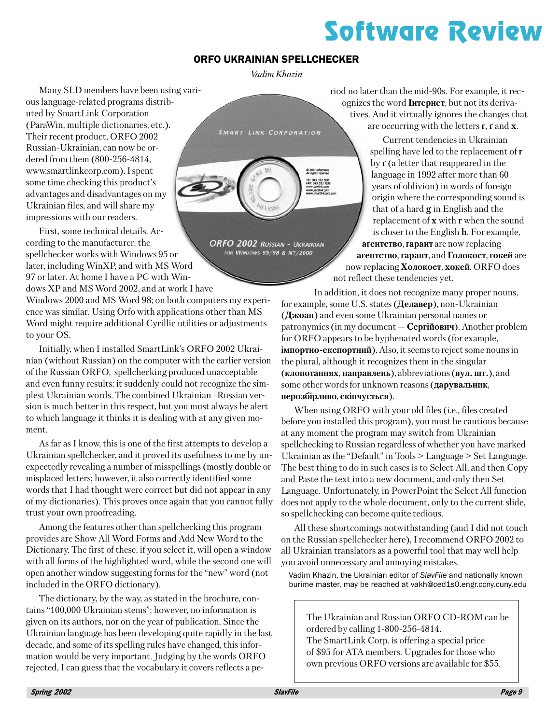# **Software Review**

## **ORFO UKRAINIAN SPELLCHECKER**

Vadim Khazin

**SMART LINK CORPORATION** 

ORFO 2002 RUSSIAN - UKRAINIAN

FOR WINDOWS 95/98 & NT/2000

Many SLD members have been using various language-related programs distributed by SmartLink Corporation (ParaWin, multiple dictionaries, etc.). Their recent product, ORFO 2002 Russian-Ukrainian, can now be ordered from them (800-256-4814. www.smartlinkcorp.com). I spent some time checking this product's advantages and disadvantages on my Ukrainian files, and will share my impressions with our readers.

First, some technical details. According to the manufacturer, the spellchecker works with Windows 95 or later, including WinXP, and with MS Word 97 or later. At home I have a PC with Windows XP and MS Word 2002, and at work I have

Windows 2000 and MS Word 98; on both computers my experience was similar. Using Orfo with applications other than MS Word might require additional Cyrillic utilities or adjustments to your OS.

Initially, when I installed SmartLink's ORFO 2002 Ukrainian (without Russian) on the computer with the earlier version of the Russian ORFO, spellchecking produced unacceptable and even funny results: it suddenly could not recognize the simplest Ukrainian words. The combined Ukrainian+Russian version is much better in this respect, but you must always be alert to which language it thinks it is dealing with at any given moment.

As far as I know, this is one of the first attempts to develop a Ukrainian spellchecker, and it proved its usefulness to me by unexpectedly revealing a number of misspellings (mostly double or misplaced letters; however, it also correctly identified some words that I had thought were correct but did not appear in any of my dictionaries). This proves once again that you cannot fully trust your own proofreading.

Among the features other than spellchecking this program provides are Show All Word Forms and Add New Word to the Dictionary. The first of these, if you select it, will open a window with all forms of the highlighted word, while the second one will open another window suggesting forms for the "new" word (not included in the ORFO dictionary).

The dictionary, by the way, as stated in the brochure, contains "100,000 Ukrainian stems"; however, no information is given on its authors, nor on the year of publication. Since the Ukrainian language has been developing quite rapidly in the last decade, and some of its spelling rules have changed, this information would be very important. Judging by the words ORFO rejected, I can guess that the vocabulary it covers reflects a period no later than the mid-90s. For example, it recognizes the word **IHTEPHET**, but not its derivatives. And it virtually ignores the changes that are occurring with the letters  $\mathbf{r}$ ,  $\mathbf{r}$  and  $\mathbf{x}$ .

Current tendencies in Ukrainian spelling have led to the replacement of  $\mathbf r$ by r (a letter that reappeared in the language in 1992 after more than 60 years of oblivion) in words of foreign origin where the corresponding sound is that of a hard  $g$  in English and the replacement of  $x$  with  $r$  when the sound is closer to the English **h**. For example, **атентство, гарант** are now replacing агентство, гарант, and Голокост, гокей are now replacing **Холокост**, **хокей**. ORFO does not reflect these tendencies yet.

In addition, it does not recognize many proper nouns, for example, some U.S. states (Делавер), non-Ukrainian  $(Ax\cos\theta)$  and even some Ukrainian personal names or patronymics (in my document — Сергійович). Another problem for ORFO appears to be hyphenated words (for example, **імпортно-експортний**). Also, it seems to reject some nouns in the plural, although it recognizes them in the singular (клопотаннях, направлень), abbreviations (вул. шт.), and some other words for unknown reasons (дарувальник, нерозбірливо, скінчується).

When using ORFO with your old files (i.e., files created before you installed this program), you must be cautious because at any moment the program may switch from Ukrainian spellchecking to Russian regardless of whether you have marked Ukrainian as the "Default" in Tools  $>$  Language  $>$  Set Language. The best thing to do in such cases is to Select All, and then Copy and Paste the text into a new document, and only then Set Language. Unfortunately, in PowerPoint the Select All function does not apply to the whole document, only to the current slide, so spellchecking can become quite tedious.

All these shortcomings notwithstanding (and I did not touch on the Russian spellchecker here), I recommend ORFO 2002 to all Ukrainian translators as a powerful tool that may well help you avoid unnecessary and annoying mistakes.

Vadim Khazin, the Ukrainian editor of SlavFile and nationally known burime master, may be reached at vakh@ced1s0.engr.ccny.cuny.edu

The Ukrainian and Russian ORFO CD-ROM can be ordered by calling 1-800-256-4814. The SmartLink Corp. is offering a special price of \$95 for ATA members. Upgrades for those who own previous ORFO versions are available for \$55.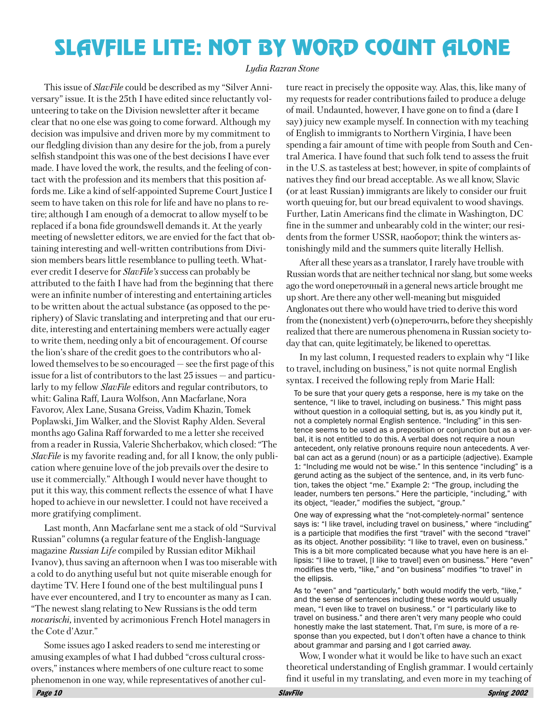# **SLAVFILE LITE: NOT BY WORD COUNT ALONE**

#### Lydia Razran Stone

This issue of *SlavFile* could be described as my "Silver Anniversary" issue. It is the 25th I have edited since reluctantly volunteering to take on the Division newsletter after it became clear that no one else was going to come forward. Although my decision was impulsive and driven more by my commitment to our fledgling division than any desire for the job, from a purely selfish standpoint this was one of the best decisions I have ever made. I have loved the work, the results, and the feeling of contact with the profession and its members that this position affords me. Like a kind of self-appointed Supreme Court Justice I seem to have taken on this role for life and have no plans to retire; although I am enough of a democrat to allow myself to be replaced if a bona fide grounds well demands it. At the yearly meeting of newsletter editors, we are envied for the fact that obtaining interesting and well-written contributions from Division members bears little resemblance to pulling teeth. Whatever credit I deserve for *SlavFile's* success can probably be attributed to the faith I have had from the beginning that there were an infinite number of interesting and entertaining articles to be written about the actual substance (as opposed to the periphery) of Slavic translating and interpreting and that our erudite, interesting and entertaining members were actually eager to write them, needing only a bit of encouragement. Of course the lion's share of the credit goes to the contributors who allowed themselves to be so encouraged  $-$  see the first page of this issue for a list of contributors to the last  $25$  issues  $-$  and particularly to my fellow SlavFile editors and regular contributors, to whit: Galina Raff, Laura Wolfson, Ann Macfarlane, Nora Favorov, Alex Lane, Susana Greiss, Vadim Khazin, Tomek Poplawski, Jim Walker, and the Slovist Raphy Alden. Several months ago Galina Raff forwarded to me a letter she received from a reader in Russia. Valerie Shcherbakov, which closed: "The *SlavFile* is my favorite reading and, for all I know, the only publication where genuine love of the job prevails over the desire to use it commercially." Although I would never have thought to put it this way, this comment reflects the essence of what I have hoped to achieve in our newsletter. I could not have received a more gratifying compliment.

Last month, Ann Macfarlane sent me a stack of old "Survival Russian" columns (a regular feature of the English-language magazine Russian Life compiled by Russian editor Mikhail Ivanov), thus saving an afternoon when I was too miserable with a cold to do anything useful but not quite miserable enough for daytime TV. Here I found one of the best multilingual puns I have ever encountered, and I try to encounter as many as I can. "The newest slang relating to New Russians is the odd term *novarischi*, invented by acrimonious French Hotel managers in the Cote d'Azur."

Some issues ago I asked readers to send me interesting or amusing examples of what I had dubbed "cross cultural crossovers," instances where members of one culture react to some phenomenon in one way, while representatives of another culture react in precisely the opposite way. Alas, this, like many of my requests for reader contributions failed to produce a deluge of mail. Undaunted, however, I have gone on to find a (dare I say) juicy new example myself. In connection with my teaching of English to immigrants to Northern Virginia, I have been spending a fair amount of time with people from South and Central America. I have found that such folk tend to assess the fruit in the U.S. as tasteless at best; however, in spite of complaints of natives they find our bread acceptable. As we all know, Slavic (or at least Russian) immigrants are likely to consider our fruit worth queuing for, but our bread equivalent to wood shavings. Further, Latin Americans find the climate in Washington, DC fine in the summer and unbearably cold in the winter; our residents from the former USSR, наоборот; think the winters astonishingly mild and the summers quite literally Hellish.

After all these years as a translator, I rarely have trouble with Russian words that are neither technical nor slang, but some weeks ago the word опереточный in a general news article brought me up short. Are there any other well-meaning but misguided Anglonates out there who would have tried to derive this word from the (nonexistent) verb (о) переточить, before they sheepishly realized that there are numerous phenomena in Russian society today that can, quite legitimately, be likened to operettas.

In my last column, I requested readers to explain why "I like to travel, including on business," is not quite normal English syntax. I received the following reply from Marie Hall:

To be sure that your query gets a response, here is my take on the sentence, "I like to travel, including on business." This might pass without question in a colloquial setting, but is, as you kindly put it, not a completely normal English sentence. "Including" in this sentence seems to be used as a preposition or conjunction but as a verbal, it is not entitled to do this. A verbal does not require a noun antecedent, only relative pronouns require noun antecedents. A verbal can act as a gerund (noun) or as a participle (adjective). Example 1: "Including me would not be wise." In this sentence "including" is a gerund acting as the subject of the sentence, and, in its verb function, takes the object "me." Example 2: "The group, including the leader, numbers ten persons." Here the participle, "including," with its object, "leader," modifies the subject, "group."

One way of expressing what the "not-completely-normal" sentence says is: "I like travel, including travel on business," where "including" is a participle that modifies the first "travel" with the second "travel" as its object. Another possibility: "I like to travel, even on business." This is a bit more complicated because what you have here is an ellipsis: "I like to travel, [I like to travel] even on business." Here "even" modifies the verb, "like," and "on business" modifies "to travel" in the ellipsis.

As to "even" and "particularly," both would modify the verb, "like," and the sense of sentences including these words would usually mean, "I even like to travel on business." or "I particularly like to travel on business." and there aren't very many people who could honestly make the last statement. That, I'm sure, is more of a response than you expected, but I don't often have a chance to think about grammar and parsing and I got carried away.

Wow, I wonder what it would be like to have such an exact theoretical understanding of English grammar. I would certainly find it useful in my translating, and even more in my teaching of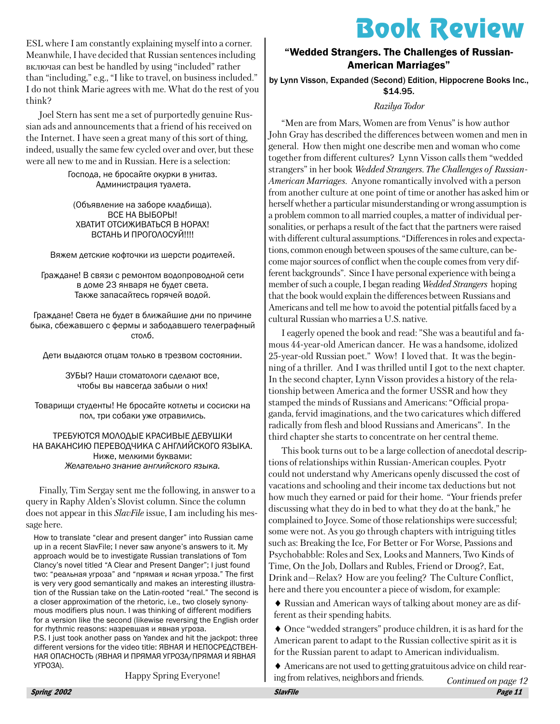# **Book Review**

ESL where I am constantly explaining myself into a corner. Meanwhile, I have decided that Russian sentences including включая can best be handled by using "included" rather than "including," e.g., "I like to travel, on business included." I do not think Marie agrees with me. What do the rest of you think?

Joel Stern has sent me a set of purportedly genuine Russian ads and announcements that a friend of his received on the Internet. I have seen a great many of this sort of thing, indeed, usually the same few cycled over and over, but these were all new to me and in Russian. Here is a selection:

> Господа, не бросайте окурки в унитаз. Администрация туалета.

(Объявление на заборе кладбища). ВСЕ НА ВЫБОРЫ! ХВАТИТ ОТСИЖИВАТЬСЯ В НОРАХ! ВСТАНЬ И ПРОГОЛОСУЙ!!!!

Вяжем детские кофточки из шерсти родителей.

Граждане! В связи с ремонтом водопроводной сети в доме 23 января не будет света. Также запасайтесь горячей водой.

Граждане! Света не будет в ближайшие дни по причине быка, сбежавшего с фермы и забодавшего телеграфный столб.

Дети выдаются отцам только в трезвом состоянии.

ЗУБЫ? Наши стоматологи сделают все, чтобы вы навсегда забыли о них!

Товарищи студенты! Не бросайте котлеты и сосиски на пол, три собаки уже отравились.

#### ТРЕБУЮТСЯ МОЛОДЫЕ КРАСИВЫЕ ДЕВУШКИ НА ВАКАНСИЮ ПЕРЕВОДЧИКА С АНГЛИЙСКОГО ЯЗЫКА. Ниже, мелкими буквами: Желательно знание английского языка.

Finally, Tim Sergay sent me the following, in answer to a query in Raphy Alden's Slovist column. Since the column does not appear in this *SlavFile* issue, I am including his message here.

How to translate "clear and present danger" into Russian came up in a recent SlavFile; I never saw anyone's answers to it. My approach would be to investigate Russian translations of Tom Clancy's novel titled "A Clear and Present Danger"; I just found two: "реальная угроза" and "прямая и ясная угроза." The first is very very good semantically and makes an interesting illustration of the Russian take on the Latin-rooted "real." The second is a closer approximation of the rhetoric, i.e., two closely synonymous modifiers plus noun. I was thinking of different modifiers for a version like the second (likewise reversing the English order for rhythmic reasons: назревшая и явная угроза.

P.S. I just took another pass on Yandex and hit the jackpot: three different versions for the video title: ЯВНАЯ И НЕПОСРЕΔСТВЕН-НАЯ ОПАСНОСТЬ (ЯВНАЯ И ПРЯМАЯ УГРОЗА/ПРЯМАЯ И ЯВНАЯ YFPO3A).

**Happy Spring Everyone!** 

## "Wedded Strangers. The Challenges of Russian-**American Marriages"**

by Lynn Visson, Expanded (Second) Edition, Hippocrene Books Inc., \$14.95.

### Razilya Todor

"Men are from Mars. Women are from Venus" is how author John Gray has described the differences between women and men in general. How then might one describe men and woman who come together from different cultures? Lynn Visson calls them "wedded strangers" in her book Wedded Strangers. The Challenges of Russian-American Marriages. Anyone romantically involved with a person from another culture at one point of time or another has asked him or herself whether a particular misunderstanding or wrong assumption is a problem common to all married couples, a matter of individual personalities, or perhaps a result of the fact that the partners were raised with different cultural assumptions. "Differences in roles and expectations, common enough between spouses of the same culture, can become major sources of conflict when the couple comes from very different backgrounds". Since I have personal experience with being a member of such a couple, I began reading *Wedded Strangers* hoping that the book would explain the differences between Russians and Americans and tell me how to avoid the potential pitfalls faced by a cultural Russian who marries a U.S. native.

I eagerly opened the book and read: "She was a beautiful and famous 44-year-old American dancer. He was a handsome, idolized 25-year-old Russian poet." Wow! I loved that. It was the beginning of a thriller. And I was thrilled until I got to the next chapter. In the second chapter, Lynn Visson provides a history of the relationship between America and the former USSR and how they stamped the minds of Russians and Americans: "Official propaganda, fervid imaginations, and the two caricatures which differed radically from flesh and blood Russians and Americans". In the third chapter she starts to concentrate on her central theme.

This book turns out to be a large collection of anecdotal descriptions of relationships within Russian-American couples. Pyotr could not understand why Americans openly discussed the cost of vacations and schooling and their income tax deductions but not how much they earned or paid for their home. "Your friends prefer discussing what they do in bed to what they do at the bank," he complained to Joyce. Some of those relationships were successful; some were not. As you go through chapters with intriguing titles such as: Breaking the Ice, For Better or For Worse, Passions and Psychobabble: Roles and Sex, Looks and Manners, Two Kinds of Time, On the Job, Dollars and Rubles, Friend or Droog?, Eat, Drink and-Relax? How are you feeling? The Culture Conflict, here and there you encounter a piece of wisdom, for example:

 $\blacklozenge$  Russian and American ways of talking about money are as different as their spending habits.

• Once "wedded strangers" produce children, it is as hard for the American parent to adapt to the Russian collective spirit as it is for the Russian parent to adapt to American individualism.

 $\blacklozenge$  Americans are not used to getting gratuitous advice on child rearing from relatives, neighbors and friends.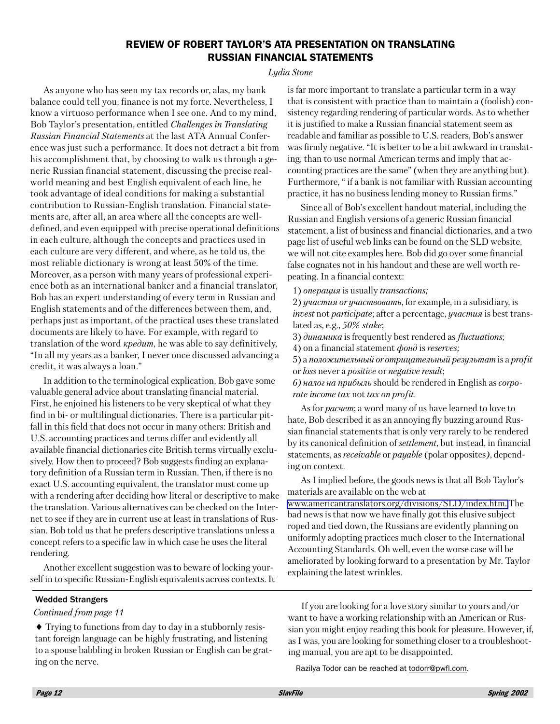## **REVIEW OF ROBERT TAYLOR'S ATA PRESENTATION ON TRANSLATING RUSSIAN FINANCIAL STATEMENTS**

#### Ludia Stone

As anyone who has seen my tax records or, alas, my bank balance could tell you, finance is not my forte. Nevertheless, I know a virtuoso performance when I see one. And to my mind, Bob Taylor's presentation, entitled *Challenges in Translating* Russian Financial Statements at the last ATA Annual Conference was just such a performance. It does not detract a bit from his accomplishment that, by choosing to walk us through a generic Russian financial statement, discussing the precise realworld meaning and best English equivalent of each line, he took advantage of ideal conditions for making a substantial contribution to Russian-English translation. Financial statements are, after all, an area where all the concepts are welldefined, and even equipped with precise operational definitions in each culture, although the concepts and practices used in each culture are very different, and where, as he told us, the most reliable dictionary is wrong at least 50% of the time. Moreover, as a person with many years of professional experience both as an international banker and a financial translator, Bob has an expert understanding of every term in Russian and English statements and of the differences between them, and, perhaps just as important, of the practical uses these translated documents are likely to have. For example, with regard to translation of the word  $\kappa p e \partial u m$ , he was able to say definitively, "In all my years as a banker, I never once discussed advancing a credit, it was always a loan."

In addition to the terminological explication, Bob gave some valuable general advice about translating financial material. First, he enjoined his listeners to be very skeptical of what they find in bi- or multilingual dictionaries. There is a particular pitfall in this field that does not occur in many others: British and U.S. accounting practices and terms differ and evidently all available financial dictionaries cite British terms virtually exclusively. How then to proceed? Bob suggests finding an explanatory definition of a Russian term in Russian. Then, if there is no exact U.S. accounting equivalent, the translator must come up with a rendering after deciding how literal or descriptive to make the translation. Various alternatives can be checked on the Internet to see if they are in current use at least in translations of Russian. Bob told us that he prefers descriptive translations unless a concept refers to a specific law in which case he uses the literal rendering.

Another excellent suggestion was to beware of locking yourself in to specific Russian-English equivalents across contexts. It is far more important to translate a particular term in a way that is consistent with practice than to maintain a (foolish) consistency regarding rendering of particular words. As to whether it is justified to make a Russian financial statement seem as readable and familiar as possible to U.S. readers, Bob's answer was firmly negative. "It is better to be a bit awkward in translating, than to use normal American terms and imply that accounting practices are the same" (when they are anything but). Furthermore, " if a bank is not familiar with Russian accounting practice, it has no business lending money to Russian firms."

Since all of Bob's excellent handout material, including the Russian and English versions of a generic Russian financial statement, a list of business and financial dictionaries, and a two page list of useful web links can be found on the SLD website, we will not cite examples here. Bob did go over some financial false cognates not in his handout and these are well worth repeating. In a financial context:

1) *onepayus* is usually *transactions*;

2) yyuacmus or yyuacmeosams, for example, in a subsidiary, is *invest* not *participate*; after a percentage, *yuacmus* is best translated as, e.g.,  $50\%$  stake;

3) динамика is frequently best rendered as *fluctuations*;

4) on a financial statement  $\phi$ ond is reserves;

5) а положительный ог отрицательный результат is a profit or loss never a *positive* or *negative result*;

6) налог на прибыль should be rendered in English as corporate income tax not tax on profit.

As for *pacuem*; a word many of us have learned to love to hate, Bob described it as an annoying fly buzzing around Russian financial statements that is only very rarely to be rendered by its canonical definition of *settlement*, but instead, in financial statements, as *receivable* or *payable* (polar opposites), depending on context.

As I implied before, the goods news is that all Bob Taylor's materials are available on the web at www.americantranslators.org/divisions/SLD/index.htm. The bad news is that now we have finally got this elusive subject roped and tied down, the Russians are evidently planning on uniformly adopting practices much closer to the International Accounting Standards. Oh well, even the worse case will be ameliorated by looking forward to a presentation by Mr. Taylor explaining the latest wrinkles.

#### **Wedded Strangers**

Continued from page 11

• Trying to functions from day to day in a stubbornly resistant foreign language can be highly frustrating, and listening to a spouse babbling in broken Russian or English can be grating on the nerve.

If you are looking for a love story similar to yours and/or want to have a working relationship with an American or Russian you might enjoy reading this book for pleasure. However, if, as I was, you are looking for something closer to a trouble shooting manual, you are apt to be disappointed.

Razilya Todor can be reached at todorr@pwfl.com.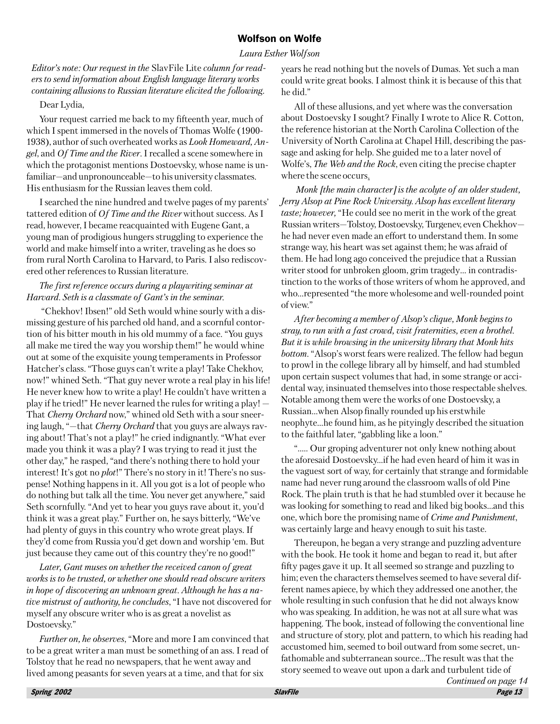## **Wolfson on Wolfe**

#### Laura Esther Wolfson

Editor's note: Our request in the SlavFile Lite column for readers to send information about English language literary works containing allusions to Russian literature elicited the following.

#### Dear Lydia,

Your request carried me back to my fifteenth year, much of which I spent immersed in the novels of Thomas Wolfe (1900-1938), author of such overheated works as *Look Homeward*, Angel, and Of Time and the River. I recalled a scene somewhere in which the protagonist mentions Dostoevsky, whose name is unfamiliar—and unpronounceable—to his university classmates. His enthusiasm for the Russian leaves them cold.

I searched the nine hundred and twelve pages of my parents' tattered edition of Of Time and the River without success. As I read, however, I became reacquainted with Eugene Gant, a young man of prodigious hungers struggling to experience the world and make himself into a writer, traveling as he does so from rural North Carolina to Harvard, to Paris. I also rediscovered other references to Russian literature.

## The first reference occurs during a playwriting seminar at Harvard. Seth is a classmate of Gant's in the seminar.

"Chekhov! Ibsen!" old Seth would whine sourly with a dismissing gesture of his parched old hand, and a scornful contortion of his bitter mouth in his old mummy of a face. "You guys all make me tired the way you worship them!" he would whine out at some of the exquisite young temperaments in Professor Hatcher's class. "Those guys can't write a play! Take Chekhov, now!" whined Seth. "That guy never wrote a real play in his life! He never knew how to write a play! He couldn't have written a play if he tried!" He never learned the rules for writing a play! — That *Cherry Orchard* now," whined old Seth with a sour sneering laugh, "-that *Cherry Orchard* that you guys are always raving about! That's not a play!" he cried indignantly. "What ever made you think it was a play? I was trying to read it just the other day," he rasped, "and there's nothing there to hold your interest! It's got no *plot!*" There's no story in it! There's no suspense! Nothing happens in it. All you got is a lot of people who do nothing but talk all the time. You never get anywhere," said Seth scornfully. "And yet to hear you guys rave about it, you'd think it was a great play." Further on, he says bitterly, "We've had plenty of guys in this country who wrote great plays. If they'd come from Russia you'd get down and worship 'em. But just because they came out of this country they're no good!"

Later, Gant muses on whether the received canon of great works is to be trusted, or whether one should read obscure writers in hope of discovering an unknown great. Although he has a na*tive mistrust of authority, he concludes,* "I have not discovered for myself any obscure writer who is as great a novelist as Dostoevsky."

Further on, he observes, "More and more I am convinced that to be a great writer a man must be something of an ass. I read of Tolstoy that he read no newspapers, that he went away and lived among peasants for seven years at a time, and that for six

years he read nothing but the novels of Dumas. Yet such a man could write great books. I almost think it is because of this that he did."

All of these allusions, and yet where was the conversation about Dostoevsky I sought? Finally I wrote to Alice R. Cotton, the reference historian at the North Carolina Collection of the University of North Carolina at Chapel Hill, describing the passage and asking for help. She guided me to a later novel of Wolfe's, *The Web and the Rock*, even citing the precise chapter where the scene occurs.

Monk [the main character] is the acolyte of an older student, Jerry Alsop at Pine Rock University. Alsop has excellent literary taste; however, "He could see no merit in the work of the great Russian writers—Tolstov, Dostoevsky, Turgenev, even Chekhov he had never even made an effort to understand them. In some strange way, his heart was set against them; he was afraid of them. He had long ago conceived the prejudice that a Russian writer stood for unbroken gloom, grim tragedy... in contradistinction to the works of those writers of whom he approved, and who...represented "the more wholesome and well-rounded point of view."

After becoming a member of Alsop's clique, Monk begins to stray, to run with a fast crowd, visit fraternities, even a brothel. But it is while browsing in the university library that Monk hits *bottom.* "Alsop's worst fears were realized. The fellow had begun to prowl in the college library all by himself, and had stumbled upon certain suspect volumes that had, in some strange or accidental way, insinuated themselves into those respectable shelves. Notable among them were the works of one Dostoevsky, a Russian...when Alsop finally rounded up his erstwhile neophyte...he found him, as he pityingly described the situation to the faithful later, "gabbling like a loon."

"..... Our groping adventurer not only knew nothing about the aforesaid Dostoevsky...if he had even heard of him it was in the vaguest sort of way, for certainly that strange and formidable name had never rung around the classroom walls of old Pine Rock. The plain truth is that he had stumbled over it because he was looking for something to read and liked big books...and this one, which bore the promising name of Crime and Punishment, was certainly large and heavy enough to suit his taste.

Thereupon, he began a very strange and puzzling adventure with the book. He took it home and began to read it, but after fifty pages gave it up. It all seemed so strange and puzzling to him; even the characters themselves seemed to have several different names apiece, by which they addressed one another, the whole resulting in such confusion that he did not always know who was speaking. In addition, he was not at all sure what was happening. The book, instead of following the conventional line and structure of story, plot and pattern, to which his reading had accustomed him, seemed to boil outward from some secret, unfathomable and subterranean source...The result was that the story seemed to weave out upon a dark and turbulent tide of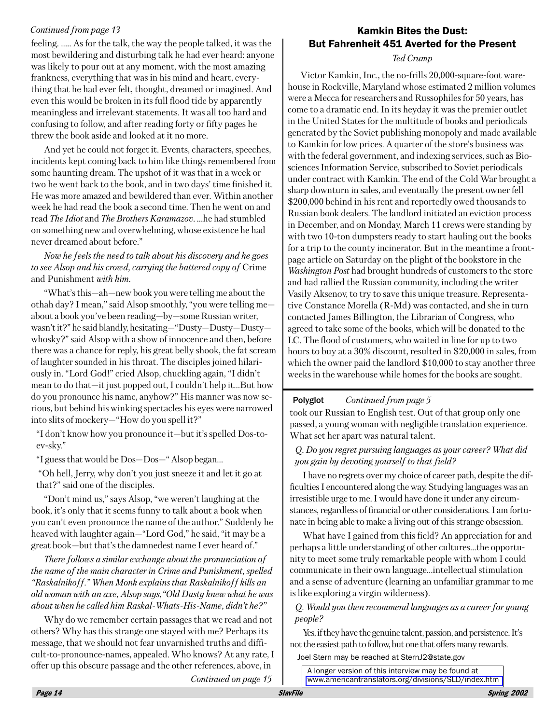## Continued from page 13

feeling...... As for the talk, the way the people talked, it was the most bewildering and disturbing talk he had ever heard: anyone was likely to pour out at any moment, with the most amazing frankness, everything that was in his mind and heart, everything that he had ever felt, thought, dreamed or imagined. And even this would be broken in its full flood tide by apparently meaningless and irrelevant statements. It was all too hard and confusing to follow, and after reading forty or fifty pages he threw the book aside and looked at it no more.

And yet he could not forget it. Events, characters, speeches, incidents kept coming back to him like things remembered from some haunting dream. The upshot of it was that in a week or two he went back to the book, and in two days' time finished it. He was more amazed and bewildered than ever. Within another week he had read the book a second time. Then he went on and read The Idiot and The Brothers Karamazov....he had stumbled on something new and overwhelming, whose existence he had never dreamed about before."

Now he feels the need to talk about his discovery and he goes to see Alsop and his crowd, carrying the battered copy of Crime and Punishment with him.

"What's this—ah—new book you were telling me about the othah day? I mean," said Alsop smoothly, "you were telling me about a book you've been reading—by—some Russian writer, wasn't it?" he said blandly, hesitating-"Dusty-Dusty-Dustywhosky?" said Alsop with a show of innocence and then, before there was a chance for reply, his great belly shook, the fat scream of laughter sounded in his throat. The disciples joined hilariously in. "Lord God!" cried Alsop, chuckling again, "I didn't mean to do that-it just popped out, I couldn't help it...But how do you pronounce his name, anyhow?" His manner was now serious, but behind his winking spectacles his eyes were narrowed into slits of mockery—"How do you spell it?"

"I don't know how you pronounce it—but it's spelled Dos-toev-sky."

"I guess that would be Dos-Dos-" Alsop began...

"Oh hell, Jerry, why don't you just sneeze it and let it go at that?" said one of the disciples.

"Don't mind us," says Alsop, "we weren't laughing at the book, it's only that it seems funny to talk about a book when you can't even pronounce the name of the author." Suddenly he heaved with laughter again—"Lord God," he said, "it may be a great book-but that's the damnedest name I ever heard of."

There follows a similar exchange about the pronunciation of the name of the main character in Crime and Punishment, spelled "Raskalnikoff." When Monk explains that Raskalnikoff kills an old woman with an axe, Alsop says, "Old Dusty knew what he was about when he called him Raskal-Whats-His-Name, didn't he?"

Why do we remember certain passages that we read and not others? Why has this strange one stayed with me? Perhaps its message, that we should not fear unvarnished truths and difficult-to-pronounce-names, appealed. Who knows? At any rate, I offer up this obscure passage and the other references, above, in Continued on page 15

## **Kamkin Bites the Dust: But Fahrenheit 451 Averted for the Present**

Ted Crump

Victor Kamkin, Inc., the no-frills 20,000-square-foot warehouse in Rockville, Maryland whose estimated 2 million volumes were a Mecca for researchers and Russophiles for 50 years, has come to a dramatic end. In its heyday it was the premier outlet in the United States for the multitude of books and periodicals generated by the Soviet publishing monopoly and made available to Kamkin for low prices. A quarter of the store's business was with the federal government, and indexing services, such as Biosciences Information Service, subscribed to Soviet periodicals under contract with Kamkin. The end of the Cold War brought a sharp downturn in sales, and eventually the present owner fell \$200,000 behind in his rent and reportedly owed thousands to Russian book dealers. The landlord initiated an eviction process in December, and on Monday, March 11 crews were standing by with two 10-ton dumpsters ready to start hauling out the books for a trip to the county incinerator. But in the meantime a frontpage article on Saturday on the plight of the bookstore in the Washington Post had brought hundreds of customers to the store and had rallied the Russian community, including the writer Vasily Aksenov, to try to save this unique treasure. Representative Constance Morella (R-Md) was contacted, and she in turn contacted James Billington, the Librarian of Congress, who agreed to take some of the books, which will be donated to the LC. The flood of customers, who waited in line for up to two hours to buy at a 30% discount, resulted in \$20,000 in sales, from which the owner paid the landlord \$10,000 to stay another three weeks in the warehouse while homes for the books are sought.

#### Continued from page 5 Polyglot

took our Russian to English test. Out of that group only one passed, a young woman with negligible translation experience. What set her apart was natural talent.

## Q. Do you regret pursuing languages as your career? What did you gain by devoting yourself to that field?

I have no regrets over my choice of career path, despite the difficulties I encountered along the way. Studying languages was an irresistible urge to me. I would have done it under any circumstances, regardless of financial or other considerations. I am fortunate in being able to make a living out of this strange obsession.

What have I gained from this field? An appreciation for and perhaps a little understanding of other cultures...the opportunity to meet some truly remarkable people with whom I could communicate in their own language... intellectual stimulation and a sense of adventure (learning an unfamiliar grammar to me is like exploring a virgin wilderness).

## O. Would you then recommend languages as a career for young people?

Yes, if they have the genuine talent, passion, and persistence. It's not the easiest path to follow, but one that offers many rewards. Joel Stern may be reached at SternJ2@state.gov

A longer version of this interview may be found at www.americantranslators.org/divisions/SLD/index.htm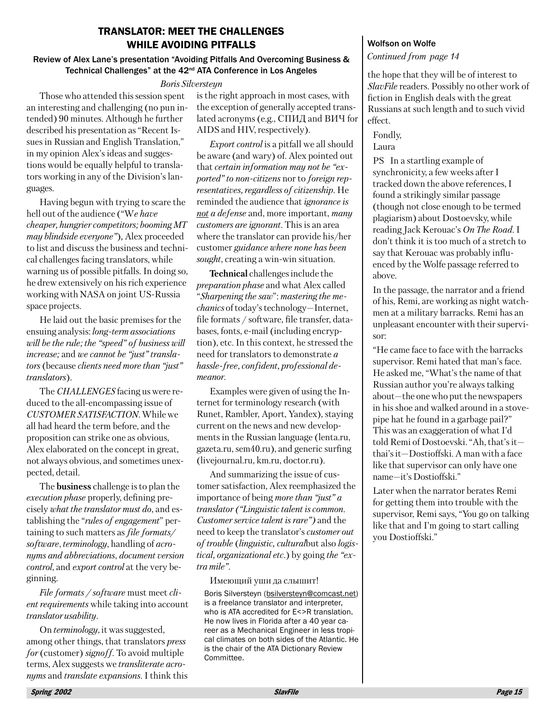## **TRANSLATOR: MEET THE CHALLENGES WHILE AVOIDING PITFALLS**

#### Review of Alex Lane's presentation "Avoiding Pitfalls And Overcoming Business & Technical Challenges" at the 42<sup>nd</sup> ATA Conference in Los Angeles

#### Boris Silversteun

Those who attended this session spent an interesting and challenging (no pun intended) 90 minutes. Although he further described his presentation as "Recent Issues in Russian and English Translation," in my opinion Alex's ideas and suggestions would be equally helpful to translators working in any of the Division's languages.

Having begun with trying to scare the hell out of the audience ("We have cheaper, hungrier competitors; booming MT may blindside everyone"), Alex proceeded to list and discuss the business and technical challenges facing translators, while warning us of possible pitfalls. In doing so, he drew extensively on his rich experience working with NASA on joint US-Russia space projects.

He laid out the basic premises for the ensuing analysis: long-term associations will be the rule; the "speed" of business will *increase*; and we cannot be "just" translators (because clients need more than "just" translators).

The CHALLENGES facing us were reduced to the all-encompassing issue of CUSTOMER SATISFACTION. While we all had heard the term before, and the proposition can strike one as obvious, Alex elaborated on the concept in great, not always obvious, and sometimes unexpected, detail.

The **business** challenge is to plan the execution phase properly, defining precisely what the translator must do, and establishing the "*rules of engagement*" pertaining to such matters as *file formats*/ software, terminology, handling of acronyms and abbreviations, document version control, and export control at the very beginning.

File formats / software must meet client requirements while taking into account translator usability.

On *terminology*, it was suggested, among other things, that translators press for (customer) signoff. To avoid multiple terms, Alex suggests we *transliterate acro*nyms and *translate expansions*. I think this is the right approach in most cases, with the exception of generally accepted translated acronyms (e.g., СПИД and ВИЧ for AIDS and HIV, respectively).

*Export control* is a pitfall we all should be aware (and wary) of. Alex pointed out that certain information may not be "exported" to non-citizens nor to foreign representatives, regardless of citizenship. He reminded the audience that *ignorance* is not a defense and, more important, many customers are ignorant. This is an area where the translator can provide his/her customer guidance where none has been sought, creating a win-win situation.

Technical challenges include the *preparation phase* and what Alex called "Sharpening the saw": mastering the me*chanics* of today's technology-Internet, file formats / software, file transfer, databases, fonts, e-mail (including encryption), etc. In this context, he stressed the need for translators to demonstrate a hassle-free, confident, professional demeanor.

Examples were given of using the Internet for terminology research (with Runet, Rambler, Aport, Yandex), staying current on the news and new developments in the Russian language (lenta.ru, gazeta.ru, sem40.ru), and generic surfing (livejournal.ru, km.ru, doctor.ru).

And summarizing the issue of customer satisfaction, Alex reemphasized the importance of being more than "just" a *translator* ("Linguistic talent is common. *Customer service talent is rare*") and the need to keep the translator's customer out of trouble (linguistic, culturalbut also logis*tical, organizational etc.*) by going *the "ex*tra mile".

Имеющий уши да слышит! Boris Silversteyn (bsilversteyn@comcast.net) is a freelance translator and interpreter, who is ATA accredited for E<>R translation. He now lives in Florida after a 40 year career as a Mechanical Engineer in less tropical climates on both sides of the Atlantic. He is the chair of the ATA Dictionary Review Committee.

#### **Wolfson on Wolfe**

Continued from page 14

the hope that they will be of interest to SlavFile readers. Possibly no other work of fiction in English deals with the great Russians at such length and to such vivid effect.

Fondly, Laura

PS In a startling example of synchronicity, a few weeks after I tracked down the above references, I found a strikingly similar passage (though not close enough to be termed plagiarism) about Dostoevsky, while reading Jack Kerouac's On The Road. I don't think it is too much of a stretch to say that Kerouac was probably influenced by the Wolfe passage referred to above.

In the passage, the narrator and a friend of his, Remi, are working as night watchmen at a military barracks. Remi has an unpleasant encounter with their supervisor:

"He came face to face with the barracks supervisor. Remi hated that man's face. He asked me, "What's the name of that Russian author you're always talking about-the one who put the newspapers in his shoe and walked around in a stovepipe hat he found in a garbage pail?" This was an exaggeration of what I'd told Remi of Dostoevski. "Ah, that's itthai's it-Dostioffski. A man with a face like that supervisor can only have one name-it's Dostioffski."

Later when the narrator berates Remi for getting them into trouble with the supervisor, Remi says, "You go on talking" like that and I'm going to start calling vou Dostioffski."